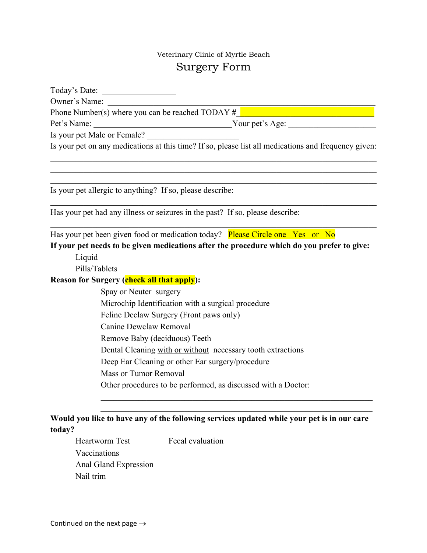## Veterinary Clinic of Myrtle Beach Surgery Form

| Owner's Name:                                                                                        |
|------------------------------------------------------------------------------------------------------|
| Phone Number(s) where you can be reached TODAY #                                                     |
| Pet's Name:<br>Nour pet's Age:                                                                       |
| Is your pet Male or Female?                                                                          |
| Is your pet on any medications at this time? If so, please list all medications and frequency given: |
|                                                                                                      |
| Is your pet allergic to anything? If so, please describe:                                            |
| Has your pet had any illness or seizures in the past? If so, please describe:                        |
| Has your pet been given food or medication today? Please Circle one Yes or No                        |
| If your pet needs to be given medications after the procedure which do you prefer to give:           |
| Liquid                                                                                               |
| Pills/Tablets                                                                                        |
| <b>Reason for Surgery (check all that apply):</b>                                                    |
| Spay or Neuter surgery                                                                               |
| Microchip Identification with a surgical procedure                                                   |
| Feline Declaw Surgery (Front paws only)                                                              |
| Canine Dewclaw Removal                                                                               |
| Remove Baby (deciduous) Teeth                                                                        |
| Dental Cleaning with or without necessary tooth extractions                                          |
| Deep Ear Cleaning or other Ear surgery/procedure                                                     |
| <b>Mass or Tumor Removal</b>                                                                         |
| Other procedures to be performed, as discussed with a Doctor:                                        |
|                                                                                                      |
| Would you like to have any of the following services updated while your pet is in our care           |
| today?                                                                                               |

Heartworm Test Fecal evaluation Vaccinations Anal Gland Expression Nail trim